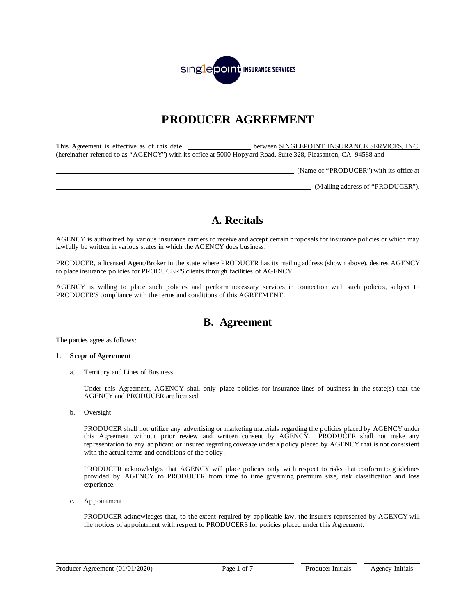

# **PRODUCER AGREEMENT**

This Agreement is effective as of this date **between SINGLEPOINT INSURANCE SERVICES, INC.** (hereinafter referred to as "AGENCY") with its office at 5000 Hopyard Road, Suite 328, Pleasanton, CA 94588 and

(Name of "PRODUCER") with its office at

(Mailing address of "PRODUCER").

## **A. Recitals**

AGENCY is authorized by various insurance carriers to receive and accept certain proposals for insurance policies or which may lawfully be written in various states in which the AGENCY does business.

PRODUCER, a licensed Agent/Broker in the state where PRODUCER has its mailing address (shown above), desires AGENCY to place insurance policies for PRODUCER'S clients through facilities of AGENCY.

AGENCY is willing to place such policies and perform necessary services in connection with such policies, subject to PRODUCER'S compliance with the terms and conditions of this AGREEMENT.

## **B. Agreement**

The parties agree as follows:

## 1. **Scope of Agreement**

a. Territory and Lines of Business

Under this Agreement, AGENCY shall only place policies for insurance lines of business in the state(s) that the AGENCY and PRODUCER are licensed.

b. Oversight

PRODUCER shall not utilize any advertising or marketing materials regarding the policies placed by AGENCY under this Agreement without prior review and written consent by AGENCY. PRODUCER shall not make any representation to any applicant or insured regarding coverage under a policy placed by AGENCY that is not consistent with the actual terms and conditions of the policy.

PRODUCER acknowledges that AGENCY will place policies only with respect to risks that conform to guidelines provided by AGENCY to PRODUCER from time to time governing premium size, risk classification and loss experience.

c. Appointment

PRODUCER acknowledges that, to the extent required by applicable law, the insurers represented by AGENCY will file notices of appointment with respect to PRODUCERS for policies placed under this Agreement.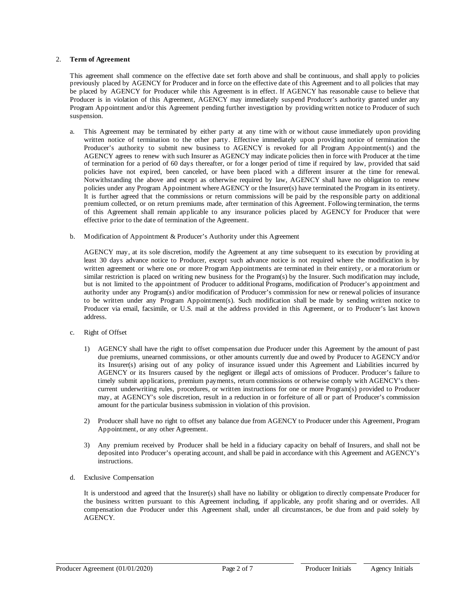## 2. **Term of Agreement**

This agreement shall commence on the effective date set forth above and shall be continuous, and shall apply to policies previously placed by AGENCY for Producer and in force on the effective date of this Agreement and to all policies that may be placed by AGENCY for Producer while this Agreement is in effect. If AGENCY has reasonable cause to believe that Producer is in violation of this Agreement, AGENCY may immediately suspend Producer's authority granted under any Program Appointment and/or this Agreement pending further investigation by providing written notice to Producer of such suspension.

- a. This Agreement may be terminated by either party at any time with or without cause immediately upon providing written notice of termination to the other party. Effective immediately upon providing notice of termination the Producer's authority to submit new business to AGENCY is revoked for all Program Appointment(s) and the AGENCY agrees to renew with such Insurer as AGENCY may indicate policies then in force with Producer at the time of termination for a period of 60 days thereafter, or for a longer period of time if required by law, provided that said policies have not expired, been canceled, or have been placed with a different insurer at the time for renewal. Notwithstanding the above and except as otherwise required by law, AGENCY shall have no obligation to renew policies under any Program Appointment where AGENCY or the Insurer(s) have terminated the Program in its entirety. It is further agreed that the commissions or return commissions will be paid by the responsible party on additional premium collected, or on return premiums made, after termination of this Agreement. Following termination, the terms of this Agreement shall remain applicable to any insurance policies placed by AGENCY for Producer that were effective prior to the date of termination of the Agreement.
- b. Modification of Appointment & Producer's Authority under this Agreement

AGENCY may, at its sole discretion, modify the Agreement at any time subsequent to its execution by providing at least 30 days advance notice to Producer, except such advance notice is not required where the modification is by written agreement or where one or more Program Appointments are terminated in their entirety, or a moratorium or similar restriction is placed on writing new business for the Program(s) by the Insurer. Such modification may include, but is not limited to the appointment of Producer to additional Programs, modification of Producer's appointment and authority under any Program(s) and/or modification of Producer's commission for new or renewal policies of insurance to be written under any Program Appointment(s). Such modification shall be made by sending written notice to Producer via email, facsimile, or U.S. mail at the address provided in this Agreement, or to Producer's last known address.

- c. Right of Offset
	- 1) AGENCY shall have the right to offset compensation due Producer under this Agreement by the amount of past due premiums, unearned commissions, or other amounts currently due and owed by Producer to AGENCY and/or its Insurer(s) arising out of any policy of insurance issued under this Agreement and Liabilities incurred by AGENCY or its Insurers caused by the negligent or illegal acts of omissions of Producer. Producer's failure to timely submit applications, premium payments, return commissions or otherwise comply with AGENCY's thencurrent underwriting rules, procedures, or written instructions for one or more Program(s) provided to Producer may, at AGENCY's sole discretion, result in a reduction in or forfeiture of all or part of Producer's commission amount for the particular business submission in violation of this provision.
	- 2) Producer shall have no right to offset any balance due from AGENCY to Producer under this Agreement, Program Appointment, or any other Agreement.
	- 3) Any premium received by Producer shall be held in a fiduciary capacity on behalf of Insurers, and shall not be deposited into Producer's operating account, and shall be paid in accordance with this Agreement and AGENCY's instructions.
- d. Exclusive Compensation

It is understood and agreed that the Insurer(s) shall have no liability or obligation to directly compensate Producer for the business written pursuant to this Agreement including, if applicable, any profit sharing and or overrides. All compensation due Producer under this Agreement shall, under all circumstances, be due from and paid solely by AGENCY.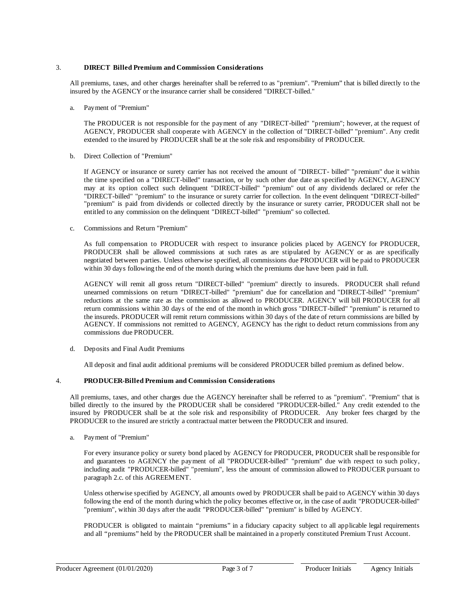## 3. **DIRECT Billed Premium and Commission Considerations**

All premiums, taxes, and other charges hereinafter shall be referred to as "premium". "Premium" that is billed directly to the insured by the AGENCY or the insurance carrier shall be considered "DIRECT-billed."

a. Payment of "Premium"

The PRODUCER is not responsible for the payment of any "DIRECT-billed" "premium"; however, at the request of AGENCY, PRODUCER shall cooperate with AGENCY in the collection of "DIRECT-billed" "premium". Any credit extended to the insured by PRODUCER shall be at the sole risk and responsibility of PRODUCER.

b. Direct Collection of "Premium"

If AGENCY or insurance or surety carrier has not received the amount of "DIRECT- billed" "premium" due it within the time specified on a "DIRECT-billed" transaction, or by such other due date as specified by AGENCY, AGENCY may at its option collect such delinquent "DIRECT-billed" "premium" out of any dividends declared or refer the "DIRECT-billed" "premium" to the insurance or surety carrier for collection. In the event delinquent "DIRECT-billed" "premium" is paid from dividends or collected directly by the insurance or surety carrier, PRODUCER shall not be entitled to any commission on the delinquent "DIRECT-billed" "premium" so collected.

c. Commissions and Return "Premium"

As full compensation to PRODUCER with respect to insurance policies placed by AGENCY for PRODUCER, PRODUCER shall be allowed commissions at such rates as are stipulated by AGENCY or as are specifically negotiated between parties. Unless otherwise specified, all commissions due PRODUCER will be paid to PRODUCER within 30 days following the end of the month during which the premiums due have been paid in full.

AGENCY will remit all gross return "DIRECT-billed" "premium" directly to insureds. PRODUCER shall refund unearned commissions on return "DIRECT-billed" "premium" due for cancellation and "DIRECT-billed" "premium" reductions at the same rate as the commission as allowed to PRODUCER. AGENCY will bill PRODUCER for all return commissions within 30 days of the end of the month in which gross "DIRECT-billed" "premium" is returned to the insureds. PRODUCER will remit return commissions within 30 days of the date of return commissions are billed by AGENCY. If commissions not remitted to AGENCY, AGENCY has the right to deduct return commissions from any commissions due PRODUCER.

## d. Deposits and Final Audit Premiums

All deposit and final audit additional premiums will be considered PRODUCER billed premium as defined below.

## 4. **PRODUCER-Billed Premium and Commission Considerations**

All premiums, taxes, and other charges due the AGENCY hereinafter shall be referred to as "premium". "Premium" that is billed directly to the insured by the PRODUCER shall be considered "PRODUCER-billed." Any credit extended to the insured by PRODUCER shall be at the sole risk and responsibility of PRODUCER. Any broker fees charged by the PRODUCER to the insured are strictly a contractual matter between the PRODUCER and insured.

a. Payment of "Premium"

For every insurance policy or surety bond placed by AGENCY for PRODUCER, PRODUCER shall be responsible for and guarantees to AGENCY the payment of all "PRODUCER-billed" "premium" due with respect to such policy, including audit "PRODUCER-billed" "premium", less the amount of commission allowed to PRODUCER pursuant to paragraph 2.c. of this AGREEMENT.

Unless otherwise specified by AGENCY, all amounts owed by PRODUCER shall be paid to AGENCY within 30 days following the end of the month during which the policy becomes effective or, in the case of audit "PRODUCER-billed" "premium", within 30 days after the audit "PRODUCER-billed" "premium" is billed by AGENCY.

PRODUCER is obligated to maintain "premiums" in a fiduciary capacity subject to all applicable legal requirements and all "premiums" held by the PRODUCER shall be maintained in a properly constituted Premium Trust Account.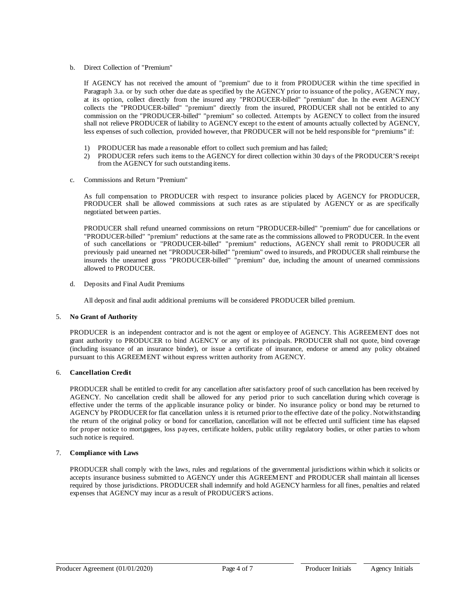b. Direct Collection of "Premium"

If AGENCY has not received the amount of "premium" due to it from PRODUCER within the time specified in Paragraph 3.a. or by such other due date as specified by the AGENCY prior to issuance of the policy, AGENCY may, at its option, collect directly from the insured any "PRODUCER-billed" "premium" due. In the event AGENCY collects the "PRODUCER-billed" "premium" directly from the insured, PRODUCER shall not be entitled to any commission on the "PRODUCER-billed" "premium" so collected. Attempts by AGENCY to collect from the insured shall not relieve PRODUCER of liability to AGENCY except to the extent of amounts actually collected by AGENCY, less expenses of such collection, provided however, that PRODUCER will not be held responsible for "premiums" if:

- 1) PRODUCER has made a reasonable effort to collect such premium and has failed;
- 2) PRODUCER refers such items to the AGENCY for direct collection within 30 days of the PRODUCER'S receipt from the AGENCY for such outstanding items.
- c. Commissions and Return "Premium"

As full compensation to PRODUCER with respect to insurance policies placed by AGENCY for PRODUCER, PRODUCER shall be allowed commissions at such rates as are stipulated by AGENCY or as are specifically negotiated between parties.

PRODUCER shall refund unearned commissions on return "PRODUCER-billed" "premium" due for cancellations or "PRODUCER-billed" "premium" reductions at the same rate as the commissions allowed to PRODUCER. In the event of such cancellations or "PRODUCER-billed" "premium" reductions, AGENCY shall remit to PRODUCER all previously paid unearned net "PRODUCER-billed" "premium" owed to insureds, and PRODUCER shall reimburse the insureds the unearned gross "PRODUCER-billed" "premium" due, including the amount of unearned commissions allowed to PRODUCER.

d. Deposits and Final Audit Premiums

All deposit and final audit additional premiums will be considered PRODUCER billed premium.

## 5. **No Grant of Authority**

PRODUCER is an independent contractor and is not the agent or employee of AGENCY. This AGREEMENT does not grant authority to PRODUCER to bind AGENCY or any of its principals. PRODUCER shall not quote, bind coverage (including issuance of an insurance binder), or issue a certificate of insurance, endorse or amend any policy obtained pursuant to this AGREEMENT without express written authority from AGENCY.

## 6. **Cancellation Credit**

PRODUCER shall be entitled to credit for any cancellation after satisfactory proof of such cancellation has been received by AGENCY. No cancellation credit shall be allowed for any period prior to such cancellation during which coverage is effective under the terms of the applicable insurance policy or binder. No insurance policy or bond may be returned to AGENCY by PRODUCER for flat cancellation unless it is returned prior to the effective date of the policy. Notwithstanding the return of the original policy or bond for cancellation, cancellation will not be effected until sufficient time has elapsed for proper notice to mortgagees, loss payees, certificate holders, public utility regulatory bodies, or other parties to whom such notice is required.

## 7. **Compliance with Laws**

PRODUCER shall comply with the laws, rules and regulations of the governmental jurisdictions within which it solicits or accepts insurance business submitted to AGENCY under this AGREEMENT and PRODUCER shall maintain all licenses required by those jurisdictions. PRODUCER shall indemnify and hold AGENCY harmless for all fines, penalties and related expenses that AGENCY may incur as a result of PRODUCER'S actions.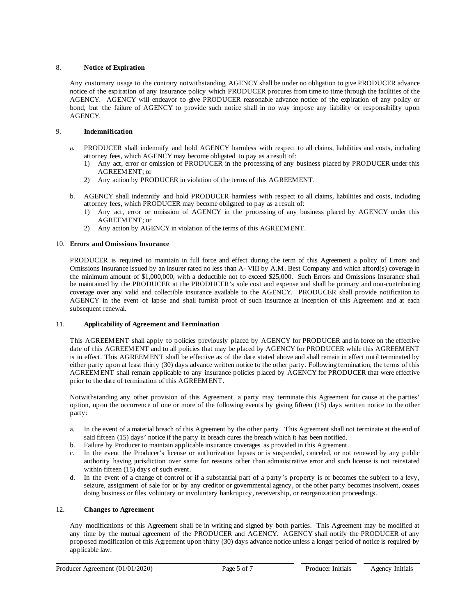## 8. **Notice of Expiration**

Any customary usage to the contrary notwithstanding, AGENCY shall be under no obligation to give PRODUCER advance notice of the expiration of any insurance policy which PRODUCER procures from time to time through the facilities of the AGENCY. AGENCY will endeavor to give PRODUCER reasonable advance notice of the expiration of any policy or bond, but the failure of AGENCY to provide such notice shall in no way impose any liability or responsibility upon AGENCY.

## 9. **Indemnification**

- a. PRODUCER shall indemnify and hold AGENCY harmless with respect to all claims, liabilities and costs, including attorney fees, which AGENCY may become obligated to pay as a result of:
	- 1) Any act, error or omission of PRODUCER in the processing of any business placed by PRODUCER under this AGREEMENT; or
	- 2) Any action by PRODUCER in violation of the terms of this AGREEMENT.
- b. AGENCY shall indemnify and hold PRODUCER harmless with respect to all claims, liabilities and costs, including attorney fees, which PRODUCER may become obligated to pay as a result of:
	- 1) Any act, error or omission of AGENCY in the processing of any business placed by AGENCY under this AGREEMENT; or
	- 2) Any action by AGENCY in violation of the terms of this AGREEMENT.

## 10. **Errors and Omissions Insurance**

PRODUCER is required to maintain in full force and effect during the term of this Agreement a policy of Errors and Omissions Insurance issued by an insurer rated no less than A- VIII by A.M. Best Company and which afford(s) coverage in the minimum amount of \$1,000,000, with a deductible not to exceed \$25,000. Such Errors and Omissions Insurance shall be maintained by the PRODUCER at the PRODUCER's sole cost and expense and shall be primary and non-contributing coverage over any valid and collectible insurance available to the AGENCY. PRODUCER shall provide notification to AGENCY in the event of lapse and shall furnish proof of such insurance at inception of this Agreement and at each subsequent renewal.

## 11. **Applicability of Agreement and Termination**

This AGREEMENT shall apply to policies previously placed by AGENCY for PRODUCER and in force on the effective date of this AGREEMENT and to all policies that may be placed by AGENCY for PRODUCER while this AGREEMENT is in effect. This AGREEMENT shall be effective as of the date stated above and shall remain in effect until terminated by either party upon at least thirty (30) days advance written notice to the other party. Following termination, the terms of this AGREEMENT shall remain applicable to any insurance policies placed by AGENCY for PRODUCER that were effective prior to the date of termination of this AGREEMENT.

Notwithstanding any other provision of this Agreement, a party may terminate this Agreement for cause at the parties' option, upon the occurrence of one or more of the following events by giving fifteen (15) days written notice to the other party:

- a. In the event of a material breach of this Agreement by the other party. This Agreement shall not terminate at the end of said fifteen (15) days' notice if the party in breach cures the breach which it has been notified.
- b. Failure by Producer to maintain applicable insurance coverages as provided in this Agreement.
- c. In the event the Producer's license or authorization lapses or is suspended, canceled, or not renewed by any public authority having jurisdiction over same for reasons other than administrative error and such license is not reinstated within fifteen (15) days of such event.
- d. In the event of a change of control or if a substantial part of a party's property is or becomes the subject to a levy, seizure, assignment of sale for or by any creditor or governmental agency, or the other party becomes insolvent, ceases doing business or files voluntary or involuntary bankruptcy, receivership, or reorganization proceedings.

## 12. **Changes to Agreement**

Any modifications of this Agreement shall be in writing and signed by both parties. This Agreement may be modified at any time by the mutual agreement of the PRODUCER and AGENCY. AGENCY shall notify the PRODUCER of any proposed modification of this Agreement upon thirty (30) days advance notice unless a longer period of notice is required by applicable law.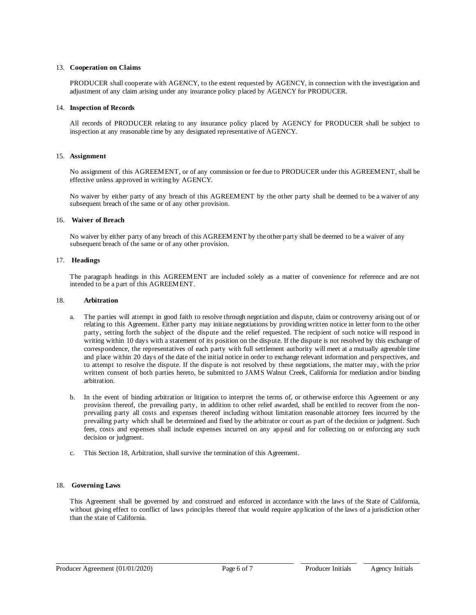## 13. **Cooperation on Claims**

PRODUCER shall cooperate with AGENCY, to the extent requested by AGENCY, in connection with the investigation and adjustment of any claim arising under any insurance policy placed by AGENCY for PRODUCER.

## 14. **Inspection of Records**

All records of PRODUCER relating to any insurance policy placed by AGENCY for PRODUCER shall be subject to inspection at any reasonable time by any designated representative of AGENCY.

## 15. **Assignment**

No assignment of this AGREEMENT, or of any commission or fee due to PRODUCER under this AGREEMENT, shall be effective unless approved in writing by AGENCY.

No waiver by either party of any breach of this AGREEMENT by the other party shall be deemed to be a waiver of any subsequent breach of the same or of any other provision.

## 16. **Waiver of Breach**

No waiver by either party of any breach of this AGREEMENT by the other party shall be deemed to be a waiver of any subsequent breach of the same or of any other provision.

## 17. **Headings**

The paragraph headings in this AGREEMENT are included solely as a matter of convenience for reference and are not intended to be a part of this AGREEMENT.

## 18. **Arbitration**

- a. The parties will attempt in good faith to resolve through negotiation and dispute, claim or controversy arising out of or relating to this Agreement. Either party may initiate negotiations by providing written notice in letter form to the other party, setting forth the subject of the dispute and the relief requested. The recipient of such notice will respond in writing within 10 days with a statement of its position on the dispute. If the dispute is not resolved by this exchange of correspondence, the representatives of each party with full settlement authority will meet at a mutually agreeable time and place within 20 days of the date of the initial notice in order to exchange relevant information and perspectives, and to attempt to resolve the dispute. If the dispute is not resolved by these negotiations, the matter may, with the prior written consent of both parties hereto, be submitted to JAMS Walnut Creek, California for mediation and/or binding arbitration.
- b. In the event of binding arbitration or litigation to interpret the terms of, or otherwise enforce this Agreement or any provision thereof, the prevailing party, in addition to other relief awarded, shall be entitled to recover from the nonprevailing party all costs and expenses thereof including without limitation reasonable attorney fees incurred by the prevailing party which shall be determined and fixed by the arbitrator or court as part of the decision or judgment. Such fees, costs and expenses shall include expenses incurred on any appeal and for collecting on or enforcing any such decision or judgment.
- c. This Section 18, Arbitration, shall survive the termination of this Agreement.

## 18. **Governing Laws**

This Agreement shall be governed by and construed and enforced in accordance with the laws of the State of California, without giving effect to conflict of laws principles thereof that would require application of the laws of a jurisdiction other than the state of California.